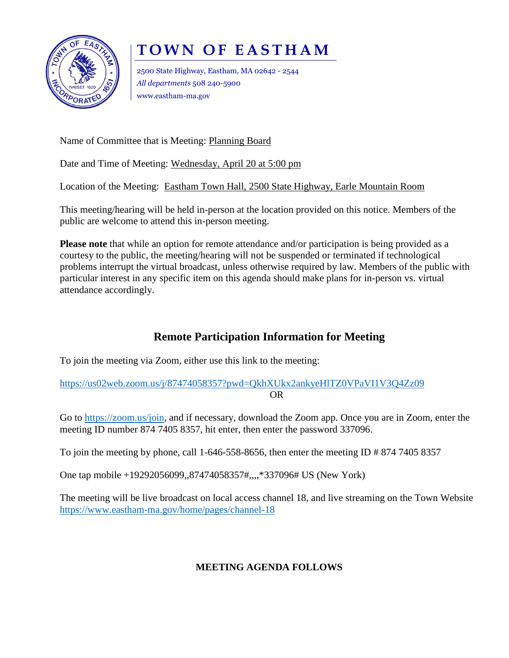

## **T O W N O F E A S T H A M**

2500 State Highway, Eastham, MA 02642 - 2544 *All departments* 508 240-5900 www.eastham-ma.gov

Name of Committee that is Meeting: Planning Board

Date and Time of Meeting: Wednesday, April 20 at 5:00 pm

Location of the Meeting: Eastham Town Hall, 2500 State Highway, Earle Mountain Room

This meeting/hearing will be held in-person at the location provided on this notice. Members of the public are welcome to attend this in-person meeting.

**Please note** that while an option for remote attendance and/or participation is being provided as a courtesy to the public, the meeting/hearing will not be suspended or terminated if technological problems interrupt the virtual broadcast, unless otherwise required by law. Members of the public with particular interest in any specific item on this agenda should make plans for in-person vs. virtual attendance accordingly.

## **Remote Participation Information for Meeting**

To join the meeting via Zoom, either use this link to the meeting:

<https://us02web.zoom.us/j/87474058357?pwd=QkhXUkx2ankyeHlTZ0VPaVI1V3Q4Zz09> OR

Go to [https://zoom.us/join,](https://zoom.us/join) and if necessary, download the Zoom app. Once you are in Zoom, enter the meeting ID number 874 7405 8357, hit enter, then enter the password 337096.

To join the meeting by phone, call 1-646-558-8656, then enter the meeting ID # 874 7405 8357

One tap mobile +19292056099,,87474058357#,,,,\*337096# US (New York)

The meeting will be live broadcast on local access channel 18, and live streaming on the Town Website <https://www.eastham-ma.gov/home/pages/channel-18>

## **MEETING AGENDA FOLLOWS**